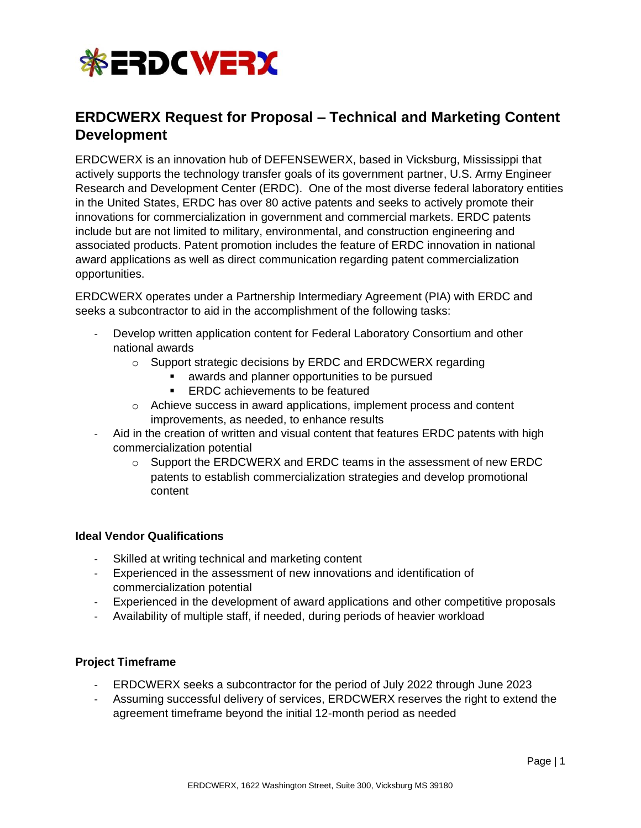

# **ERDCWERX Request for Proposal – Technical and Marketing Content Development**

ERDCWERX is an innovation hub of DEFENSEWERX, based in Vicksburg, Mississippi that actively supports the technology transfer goals of its government partner, U.S. Army Engineer Research and Development Center (ERDC). One of the most diverse federal laboratory entities in the United States, ERDC has over 80 active patents and seeks to actively promote their innovations for commercialization in government and commercial markets. ERDC patents include but are not limited to military, environmental, and construction engineering and associated products. Patent promotion includes the feature of ERDC innovation in national award applications as well as direct communication regarding patent commercialization opportunities.

ERDCWERX operates under a Partnership Intermediary Agreement (PIA) with ERDC and seeks a subcontractor to aid in the accomplishment of the following tasks:

- Develop written application content for Federal Laboratory Consortium and other national awards
	- o Support strategic decisions by ERDC and ERDCWERX regarding
		- awards and planner opportunities to be pursued
		- ERDC achievements to be featured
	- o Achieve success in award applications, implement process and content improvements, as needed, to enhance results
- Aid in the creation of written and visual content that features ERDC patents with high commercialization potential
	- $\circ$  Support the ERDCWERX and ERDC teams in the assessment of new ERDC patents to establish commercialization strategies and develop promotional content

### **Ideal Vendor Qualifications**

- Skilled at writing technical and marketing content
- Experienced in the assessment of new innovations and identification of commercialization potential
- Experienced in the development of award applications and other competitive proposals
- Availability of multiple staff, if needed, during periods of heavier workload

## **Project Timeframe**

- ERDCWERX seeks a subcontractor for the period of July 2022 through June 2023
- Assuming successful delivery of services, ERDCWERX reserves the right to extend the agreement timeframe beyond the initial 12-month period as needed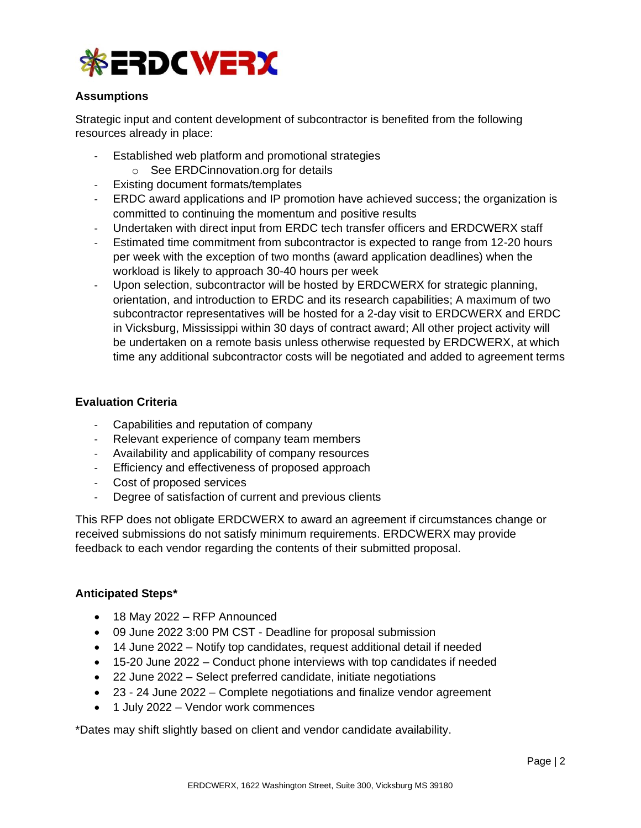

## **Assumptions**

Strategic input and content development of subcontractor is benefited from the following resources already in place:

- Established web platform and promotional strategies o See ERDCinnovation.org for details
	-
- Existing document formats/templates
- ERDC award applications and IP promotion have achieved success; the organization is committed to continuing the momentum and positive results
- Undertaken with direct input from ERDC tech transfer officers and ERDCWERX staff
- Estimated time commitment from subcontractor is expected to range from 12-20 hours per week with the exception of two months (award application deadlines) when the workload is likely to approach 30-40 hours per week
- Upon selection, subcontractor will be hosted by ERDCWERX for strategic planning, orientation, and introduction to ERDC and its research capabilities; A maximum of two subcontractor representatives will be hosted for a 2-day visit to ERDCWERX and ERDC in Vicksburg, Mississippi within 30 days of contract award; All other project activity will be undertaken on a remote basis unless otherwise requested by ERDCWERX, at which time any additional subcontractor costs will be negotiated and added to agreement terms

## **Evaluation Criteria**

- Capabilities and reputation of company
- Relevant experience of company team members
- Availability and applicability of company resources
- Efficiency and effectiveness of proposed approach
- Cost of proposed services
- Degree of satisfaction of current and previous clients

This RFP does not obligate ERDCWERX to award an agreement if circumstances change or received submissions do not satisfy minimum requirements. ERDCWERX may provide feedback to each vendor regarding the contents of their submitted proposal.

### **Anticipated Steps\***

- 18 May 2022 RFP Announced
- 09 June 2022 3:00 PM CST Deadline for proposal submission
- 14 June 2022 Notify top candidates, request additional detail if needed
- 15-20 June 2022 Conduct phone interviews with top candidates if needed
- 22 June 2022 Select preferred candidate, initiate negotiations
- 23 24 June 2022 Complete negotiations and finalize vendor agreement
- 1 July 2022 Vendor work commences

\*Dates may shift slightly based on client and vendor candidate availability.